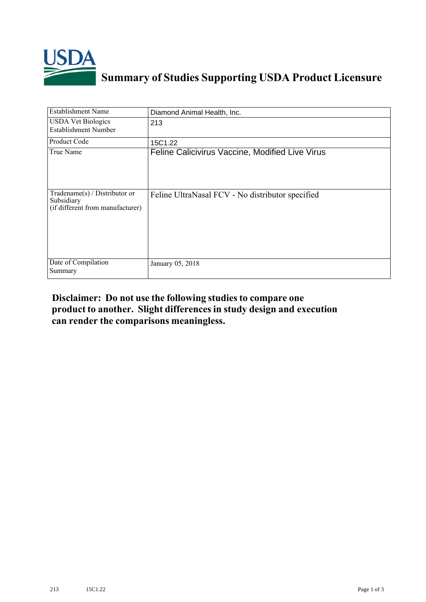

## **Summary of Studies Supporting USDA Product Licensure**

| <b>Establishment Name</b>                                                         | Diamond Animal Health, Inc.                      |
|-----------------------------------------------------------------------------------|--------------------------------------------------|
| <b>USDA Vet Biologics</b><br><b>Establishment Number</b>                          | 213                                              |
| Product Code                                                                      | 15C1.22                                          |
| True Name                                                                         | Feline Calicivirus Vaccine, Modified Live Virus  |
| $Tradename(s) / Distributor$ or<br>Subsidiary<br>(if different from manufacturer) | Feline UltraNasal FCV - No distributor specified |
| Date of Compilation<br>Summary                                                    | January 05, 2018                                 |

## **Disclaimer: Do not use the following studiesto compare one product to another. Slight differencesin study design and execution can render the comparisons meaningless.**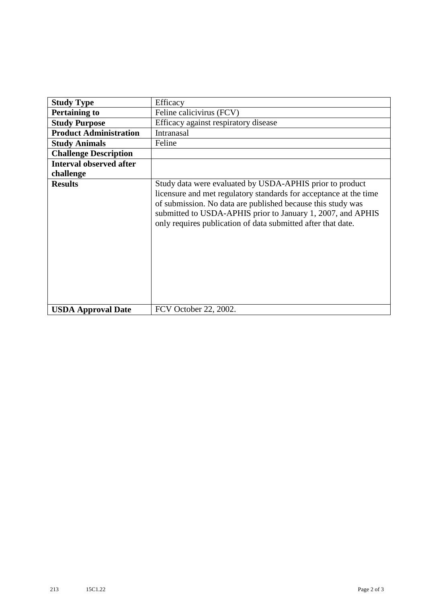| <b>Study Type</b>              | Efficacy                                                                                                                                                                                                                                                                                                                    |
|--------------------------------|-----------------------------------------------------------------------------------------------------------------------------------------------------------------------------------------------------------------------------------------------------------------------------------------------------------------------------|
|                                |                                                                                                                                                                                                                                                                                                                             |
| <b>Pertaining to</b>           | Feline calicivirus (FCV)                                                                                                                                                                                                                                                                                                    |
| <b>Study Purpose</b>           | Efficacy against respiratory disease                                                                                                                                                                                                                                                                                        |
| <b>Product Administration</b>  | Intranasal                                                                                                                                                                                                                                                                                                                  |
| <b>Study Animals</b>           | Feline                                                                                                                                                                                                                                                                                                                      |
| <b>Challenge Description</b>   |                                                                                                                                                                                                                                                                                                                             |
| <b>Interval observed after</b> |                                                                                                                                                                                                                                                                                                                             |
| challenge                      |                                                                                                                                                                                                                                                                                                                             |
| <b>Results</b>                 | Study data were evaluated by USDA-APHIS prior to product<br>licensure and met regulatory standards for acceptance at the time<br>of submission. No data are published because this study was<br>submitted to USDA-APHIS prior to January 1, 2007, and APHIS<br>only requires publication of data submitted after that date. |
| <b>USDA Approval Date</b>      | FCV October 22, 2002.                                                                                                                                                                                                                                                                                                       |